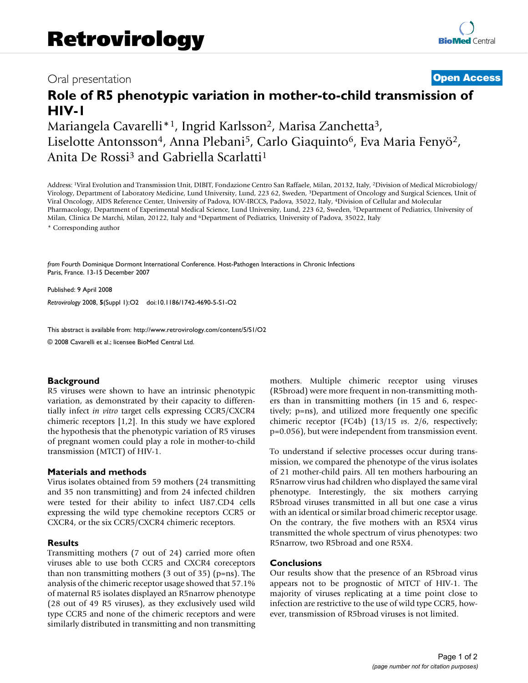## Oral presentation **[Open Access](http://www.biomedcentral.com/info/about/charter/)**

# **Role of R5 phenotypic variation in mother-to-child transmission of HIV-1**

Mariangela Cavarelli\*1, Ingrid Karlsson2, Marisa Zanchetta3, Liselotte Antonsson<sup>4</sup>, Anna Plebani<sup>5</sup>, Carlo Giaquinto<sup>6</sup>, Eva Maria Fenyö<sup>2</sup>, Anita De Rossi3 and Gabriella Scarlatti1

Address: 1Viral Evolution and Transmission Unit, DIBIT, Fondazione Centro San Raffaele, Milan, 20132, Italy, 2Division of Medical Microbiology/ Virology, Department of Laboratory Medicine, Lund University, Lund, 223 62, Sweden, 3Department of Oncology and Surgical Sciences, Unit of Viral Oncology, AIDS Reference Center, University of Padova, IOV-IRCCS, Padova, 35022, Italy, 4Division of Cellular and Molecular Pharmacology, Department of Experimental Medical Science, Lund University, Lund, 223 62, Sweden, 5Department of Pediatrics, University of Milan, Clinica De Marchi, Milan, 20122, Italy and 6Department of Pediatrics, University of Padova, 35022, Italy \* Corresponding author

*from* Fourth Dominique Dormont International Conference. Host-Pathogen Interactions in Chronic Infections Paris, France. 13-15 December 2007

Published: 9 April 2008 *Retrovirology* 2008, **5**(Suppl 1):O2 doi:10.1186/1742-4690-5-S1-O2

[This abstract is available from: http://www.retrovirology.com/content/5/S1/O2](http://www.retrovirology.com/content/5/S1/O2)

© 2008 Cavarelli et al.; licensee BioMed Central Ltd.

### **Background**

R5 viruses were shown to have an intrinsic phenotypic variation, as demonstrated by their capacity to differentially infect *in vitro* target cells expressing CCR5/CXCR4 chimeric receptors [1,2]. In this study we have explored the hypothesis that the phenotypic variation of R5 viruses of pregnant women could play a role in mother-to-child transmission (MTCT) of HIV-1.

### **Materials and methods**

Virus isolates obtained from 59 mothers (24 transmitting and 35 non transmitting) and from 24 infected children were tested for their ability to infect U87.CD4 cells expressing the wild type chemokine receptors CCR5 or CXCR4, or the six CCR5/CXCR4 chimeric receptors.

### **Results**

Transmitting mothers (7 out of 24) carried more often viruses able to use both CCR5 and CXCR4 coreceptors than non transmitting mothers (3 out of 35) (p=ns). The analysis of the chimeric receptor usage showed that 57.1% of maternal R5 isolates displayed an R5narrow phenotype (28 out of 49 R5 viruses), as they exclusively used wild type CCR5 and none of the chimeric receptors and were similarly distributed in transmitting and non transmitting mothers. Multiple chimeric receptor using viruses (R5broad) were more frequent in non-transmitting mothers than in transmitting mothers (in 15 and 6, respectively; p=ns), and utilized more frequently one specific chimeric receptor (FC4b) (13/15 *vs*. 2/6, respectively; p=0.056), but were independent from transmission event.

To understand if selective processes occur during transmission, we compared the phenotype of the virus isolates of 21 mother-child pairs. All ten mothers harbouring an R5narrow virus had children who displayed the same viral phenotype. Interestingly, the six mothers carrying R5broad viruses transmitted in all but one case a virus with an identical or similar broad chimeric receptor usage. On the contrary, the five mothers with an R5X4 virus transmitted the whole spectrum of virus phenotypes: two R5narrow, two R5broad and one R5X4.

### **Conclusions**

Our results show that the presence of an R5broad virus appears not to be prognostic of MTCT of HIV-1. The majority of viruses replicating at a time point close to infection are restrictive to the use of wild type CCR5, however, transmission of R5broad viruses is not limited.